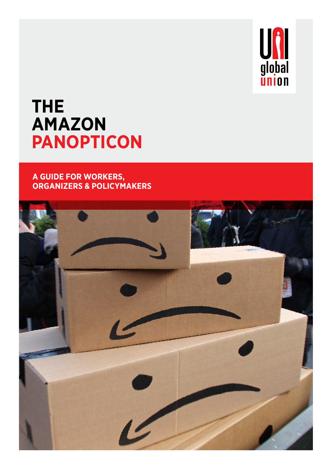

# **THE AMAZON PANOPTICON**

**A GUIDE FOR WORKERS, ORGANIZERS & POLICYMAKERS**

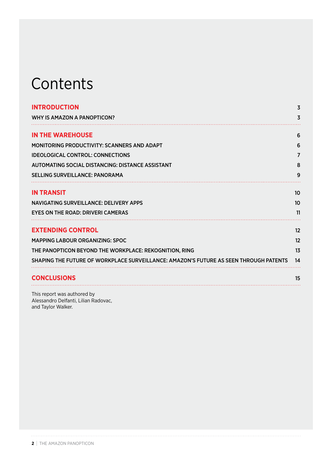# **Contents**

| <b>INTRODUCTION</b>                                                                   | 3              |
|---------------------------------------------------------------------------------------|----------------|
| WHY IS AMAZON A PANOPTICON?                                                           | 3              |
| <b>IN THE WAREHOUSE</b>                                                               | 6              |
| <b>MONITORING PRODUCTIVITY: SCANNERS AND ADAPT</b>                                    | 6              |
| <b>IDEOLOGICAL CONTROL: CONNECTIONS</b>                                               | $\overline{7}$ |
| AUTOMATING SOCIAL DISTANCING: DISTANCE ASSISTANT                                      | 8              |
| <b>SELLING SURVEILLANCE: PANORAMA</b>                                                 | 9              |
| <b>IN TRANSIT</b>                                                                     | 10             |
| NAVIGATING SURVEILLANCE: DELIVERY APPS                                                | 10             |
| <b>EYES ON THE ROAD: DRIVERI CAMERAS</b>                                              | 11             |
| <b>EXTENDING CONTROL</b>                                                              | 12             |
| <b>MAPPING LABOUR ORGANIZING: SPOC</b>                                                | 12             |
| THE PANOPTICON BEYOND THE WORKPLACE: REKOGNITION, RING                                | 1 <sub>3</sub> |
| SHAPING THE FUTURE OF WORKPLACE SURVEILLANCE: AMAZON'S FUTURE AS SEEN THROUGH PATENTS | 14             |
| <b>CONCLUSIONS</b>                                                                    | 15             |
|                                                                                       |                |

This report was authored by Alessandro Delfanti, Lilian Radovac, and Taylor Walker.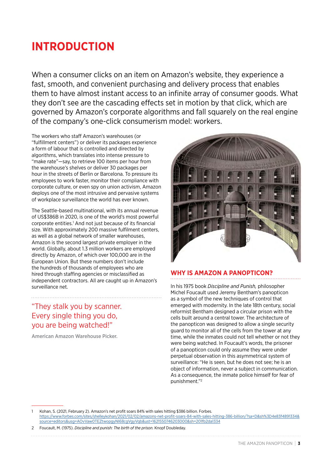## **INTRODUCTION**

When a consumer clicks on an item on Amazon's website, they experience a fast, smooth, and convenient purchasing and delivery process that enables them to have almost instant access to an infinite array of consumer goods. What they don't see are the cascading effects set in motion by that click, which are governed by Amazon's corporate algorithms and fall squarely on the real engine of the company's one-click consumerism model: workers.

The workers who staff Amazon's warehouses (or "fulfillment centers") or deliver its packages experience a form of labour that is controlled and directed by algorithms, which translates into intense pressure to "make rate"—say, to retrieve 100 items per hour from the warehouse's shelves or deliver 30 packages per hour in the streets of Berlin or Barcelona. To pressure its employees to work faster, monitor their compliance with corporate culture, or even spy on union activism, Amazon deploys one of the most intrusive and pervasive systems of workplace surveillance the world has ever known.

The Seattle-based multinational, with its annual revenue of US\$386B in 2020, is one of the world's most powerful corporate entities.<sup>1</sup> And not just because of its financial size. With approximately 200 massive fulfilment centers, as well as a global network of smaller warehouses, Amazon is the second largest private employer in the world. Globally, about 1.3 million workers are employed directly by Amazon, of which over 100,000 are in the European Union. But these numbers don't include the hundreds of thousands of employees who are hired through staffing agencies or misclassified as independent contractors. All are caught up in Amazon's surveillance net.

### "They stalk you by scanner. Every single thing you do, you are being watched!"

American Amazon Warehouse Picker.



### **WHY IS AMAZON A PANOPTICON?**

In his 1975 book *Discipline and Punish,* philosopher Michel Foucault used Jeremy Bentham's panopticon as a symbol of the new techniques of control that emerged with modernity. In the late 18th century, social reformist Bentham designed a circular prison with the cells built around a central tower. The architecture of the panopticon was designed to allow a single security guard to monitor all of the cells from the tower at any time, while the inmates could not tell whether or not they were being watched. In Foucault's words, the prisoner of a panopticon could only assume they were under perpetual observation in this asymmetrical system of surveillance: "He is seen, but he does not see; he is an object of information, never a subject in communication. As a consequence, the inmate police himself for fear of punishment."2

1 Kohan, S. (2021, February 2). Amazon's net profit soars 84% with sales hitting \$386 billion. Forbes. [https://www.forbes.com/sites/shelleykohan/2021/02/02/amazons-net-profit-soars-84-with-sales-hitting-386-billion/?sa=D&sh%3D4e83f4891334&](https://www.forbes.com/sites/shelleykohan/2021/02/02/amazons-net-profit-soars-84-with-sales-hitting-386-billion/?sa=D&sh%3D4e83f4891334&source=editors&usg=AOvVaw0TEZtwopgyNI68cgVgyVqb&ust=1621550746203000&sh=201fb2da1334) [source=editors&usg=AOvVaw0TEZtwopgyNI68cgVgyVqb&ust=1621550746203000&sh=201fb2da1334](https://www.forbes.com/sites/shelleykohan/2021/02/02/amazons-net-profit-soars-84-with-sales-hitting-386-billion/?sa=D&sh%3D4e83f4891334&source=editors&usg=AOvVaw0TEZtwopgyNI68cgVgyVqb&ust=1621550746203000&sh=201fb2da1334)

2 Foucault, M. (1975). *Discipline and punish: The birth of the prison.* Knopf Doubleday.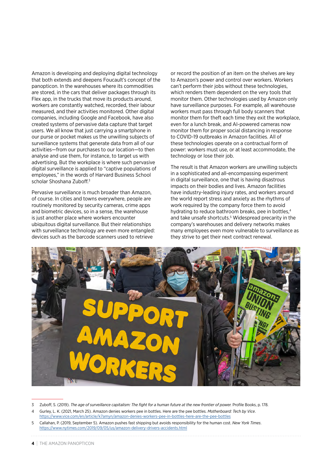Amazon is developing and deploying digital technology that both extends and deepens Foucault's concept of the panopticon. In the warehouses where its commodities are stored, in the cars that deliver packages through its Flex app, in the trucks that move its products around, workers are constantly watched, recorded, their labour measured, and their activities monitored. Other digital companies, including Google and Facebook, have also created systems of pervasive data capture that target users. We all know that just carrying a smartphone in our purse or pocket makes us the unwilling subjects of surveillance systems that generate data from all of our activities—from our purchases to our location—to then analyse and use them, for instance, to target us with advertising. But the workplace is where such pervasive digital surveillance is applied to "captive populations of employees," in the words of Harvard Business School scholar Shoshana Zuboff.3

Pervasive surveillance is much broader than Amazon, of course. In cities and towns everywhere, people are routinely monitored by security cameras, crime apps and biometric devices, so in a sense, the warehouse is just another place where workers encounter ubiquitous digital surveillance. But their relationships with surveillance technology are even more entangled: devices such as the barcode scanners used to retrieve

or record the position of an item on the shelves are key to Amazon's power and control over workers. Workers can't perform their jobs without these technologies, which renders them dependent on the very tools that monitor them. Other technologies used by Amazon only have surveillance purposes. For example, all warehouse workers must pass through full body scanners that monitor them for theft each time they exit the workplace, even for a lunch break, and AI-powered cameras now monitor them for proper social distancing in response to COVID-19 outbreaks in Amazon facilities. All of these technologies operate on a contractual form of power: workers must use, or at least accommodate, the technology or lose their job.

The result is that Amazon workers are unwilling subjects in a sophisticated and all-encompassing experiment in digital surveillance, one that is having disastrous impacts on their bodies and lives. Amazon facilities have industry-leading injury rates, and workers around the world report stress and anxiety as the rhythms of work required by the company force them to avoid hydrating to reduce bathroom breaks, pee in bottles,<sup>4</sup> and take unsafe shortcuts.<sup>5</sup> Widespread precarity in the company's warehouses and delivery networks makes many employees even more vulnerable to surveillance as they strive to get their next contract renewal.



<sup>3</sup> Zuboff, S. (2019). *The age of surveillance capitalism: The fight for a human future at the new frontier of power.* Profile Books, p. 178.

<sup>4</sup> Gurley, L. K. (2021, March 25). Amazon denies workers pee in bottles. Here are the pee bottles. *Motherboard: Tech by Vice*. <https://www.vice.com/en/article/k7amyn/amazon-denies-workers-pee-in-bottles-here-are-the-pee-bottles>

<sup>5</sup> Callahan, P. (2019, September 5). Amazon pushes fast shipping but avoids responsibility for the human cost. *New York Times*. <https://www.nytimes.com/2019/09/05/us/amazon-delivery-drivers-accidents.html>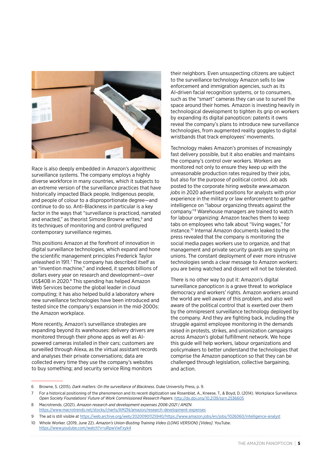

Race is also deeply embedded in Amazon's algorithmic surveillance systems. The company employs a highly diverse workforce in many countries, which it subjects to an extreme version of the surveillance practices that have historically impacted Black people, Indigenous people, and people of colour to a disproportionate degree—and continue to do so. Anti-Blackness in particular is a key factor in the ways that "surveillance is practiced, narrated and enacted," as theorist Simone Browne writes,<sup>6</sup> and its techniques of monitoring and control prefigured contemporary surveillance regimes.

This positions Amazon at the forefront of innovation in digital surveillance technologies, which expand and hone the scientific management principles Frederick Taylor unleashed in 1911.<sup>7</sup> The company has described itself as an "invention machine," and indeed, it spends billions of dollars every year on research and development—over US\$40B in 2020.<sup>8</sup> This spending has helped Amazon Web Services become the global leader in cloud computing; it has also helped build a laboratory where new surveillance technologies have been introduced and tested since the company's expansion in the mid-2000s: the Amazon workplace.

More recently, Amazon's surveillance strategies are expanding beyond its warehouses: delivery drivers are monitored through their phone apps as well as AIpowered cameras installed in their cars; customers are surveilled through Alexa, as the virtual assistant records and analyses their private conversations; data are collected every time they use the company's websites to buy something; and security service Ring monitors

their neighbors. Even unsuspecting citizens are subject to the surveillance technology Amazon sells to law enforcement and immigration agencies, such as its AI-driven facial recognition systems, or to consumers, such as the "smart" cameras they can use to surveil the space around their homes. Amazon is investing heavily in technological development to tighten its grip on workers by expanding its digital panopticon: patents it owns reveal the company's plans to introduce new surveillance technologies, from augmented reality goggles to digital wristbands that track employees' movements.

Technology makes Amazon's promises of increasingly fast delivery possible, but it also enables and maintains the company's control over workers. Workers are monitored not only to ensure they keep up with the unreasonable production rates required by their jobs, but also for the purpose of political control. Job ads posted to the corporate hiring website *www.amazon. jobs* in 2020 advertised positions for analysts with prior experience in the military or law enforcement to gather intelligence on "labour organizing threats against the company."9 Warehouse managers are trained to watch for labour organizing: Amazon teaches them to keep tabs on employees who talk about "living wages," for instance.10 Internal Amazon documents leaked to the press revealed that the company is monitoring the social media pages workers use to organize, and that management and private security guards are spying on unions. The constant deployment of ever more intrusive technologies sends a clear message to Amazon workers: you are being watched and dissent will not be tolerated.

There is no other way to put it: Amazon's digital surveillance panopticon is a grave threat to workplace democracy and workers' rights. Amazon workers around the world are well aware of this problem, and also well aware of the political control that is exerted over them by the omnipresent surveillance technology deployed by the company. And they are fighting back, including the struggle against employee monitoring in the demands raised in protests, strikes, and unionization campaigns across Amazon's global fulfillment network. We hope this guide will help workers, labour organizations and policymakers to better understand the technologies that comprise the Amazon panopticon so that they can be challenged through legislation, collective bargaining, and action.

<sup>6</sup> Browne, S. (2015). *Dark matters: On the surveillance of Blackness*. Duke University Press, p. 9.

<sup>7</sup> For a historical positioning of the phenomenon and its recent digitization see Rosenblat, A., Kneese, T., & Boyd, D. (2014). Workplace Surveillance. *Open Society Foundations' Future of Work Commissioned Research Papers*. <http://dx.doi.org/10.2139/ssrn.2536605>

<sup>8</sup> Macrotrends. (2021). *Amazon research and development expenses 2006-2021 | AMZN*. <https://www.macrotrends.net/stocks/charts/AMZN/amazon/research-development-expenses>

<sup>9</sup> The ad is still visible at<https://web.archive.org/web/20200901125940/https://www.amazon.jobs/en/jobs/1026060/intelligence-analyst>

<sup>10</sup> Whole Worker. (2019, June 22). *Amazon's Union-Busting Training Video (LONG VERSION) [Video].* YouTube. <https://www.youtube.com/watch?v=uRpwVwFxyk4>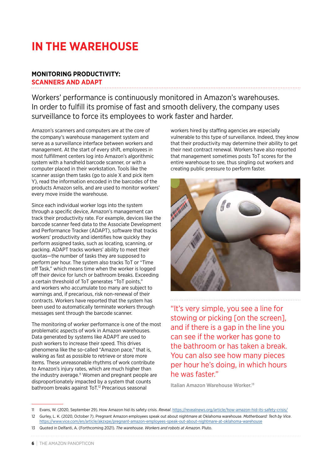# **IN THE WAREHOUSE**

### **MONITORING PRODUCTIVITY:**

### **SCANNERS AND ADAPT**

Workers' performance is continuously monitored in Amazon's warehouses. In order to fulfill its promise of fast and smooth delivery, the company uses surveillance to force its employees to work faster and harder.

Amazon's scanners and computers are at the core of the company's warehouse management system and serve as a surveillance interface between workers and management. At the start of every shift, employees in most fulfillment centers log into Amazon's algorithmic system with a handheld barcode scanner, or with a computer placed in their workstation. Tools like the scanner assign them tasks (go to aisle X and pick item Y), read the information encoded in the barcodes of the products Amazon sells, and are used to monitor workers' every move inside the warehouse.

Since each individual worker logs into the system through a specific device, Amazon's management can track their productivity rate. For example, devices like the barcode scanner feed data to the Associate Development and Performance Tracker (ADAPT), software that tracks workers' productivity and identifies how quickly they perform assigned tasks, such as locating, scanning, or packing. ADAPT tracks workers' ability to meet their quotas—the number of tasks they are supposed to perform per hour. The system also tracks ToT or "Time off Task," which means time when the worker is logged off their device for lunch or bathroom breaks. Exceeding a certain threshold of ToT generates "ToT points," and workers who accumulate too many are subject to warnings and, if precarious, risk non-renewal of their contracts. Workers have reported that the system has been used to automatically terminate workers through messages sent through the barcode scanner.

The monitoring of worker performance is one of the most problematic aspects of work in Amazon warehouses. Data generated by systems like ADAPT are used to push workers to increase their speed. This drives phenomena like the so-called "Amazon pace," that is, walking as fast as possible to retrieve or store more items. These unreasonable rhythms of work contribute to Amazon's injury rates, which are much higher than the industry average.<sup>11</sup> Women and pregnant people are disproportionately impacted by a system that counts bathroom breaks against ToT.12 Precarious seasonal

workers hired by staffing agencies are especially vulnerable to this type of surveillance. Indeed, they know that their productivity may determine their ability to get their next contract renewal. Workers have also reported that management sometimes posts ToT scores for the entire warehouse to see, thus singling out workers and creating public pressure to perform faster.



"It's very simple, you see a line for stowing or picking [on the screen], and if there is a gap in the line you can see if the worker has gone to the bathroom or has taken a break. You can also see how many pieces per hour he's doing, in which hours he was faster."

Italian Amazon Warehouse Worker.13

<sup>11</sup> Evans, W. (2020, September 29). How Amazon hid its safety crisis. *Reveal*.<https://revealnews.org/article/how-amazon-hid-its-safety-crisis/>

<sup>12</sup> Gurley, L. K. (2020, October 7). Pregnant Amazon employees speak out about nightmare at Oklahoma warehouse. *Motherboard: Tech by Vice*. <https://www.vice.com/en/article/akzxpe/pregnant-amazon-employees-speak-out-about-nightmare-at-oklahoma-warehouse>

<sup>13</sup> Quoted in Delfanti, A. (Forthcoming 2021). *The warehouse. Workers and robots at Amazon*. Pluto.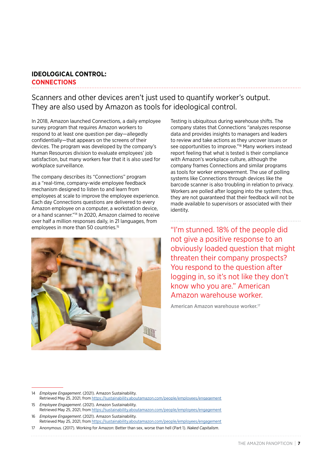### **IDEOLOGICAL CONTROL: CONNECTIONS**

Scanners and other devices aren't just used to quantify worker's output. They are also used by Amazon as tools for ideological control.

In 2018, Amazon launched Connections, a daily employee survey program that requires Amazon workers to respond to at least one question per day—allegedly confidentially—that appears on the screens of their devices. The program was developed by the company's Human Resources division to evaluate employees' job satisfaction, but many workers fear that it is also used for workplace surveillance.

The company describes its "Connections" program as a "real-time, company-wide employee feedback mechanism designed to listen to and learn from employees at scale to improve the employee experience. Each day Connections questions are delivered to every Amazon employee on a computer, a workstation device, or a hand scanner."14 In 2020, Amazon claimed to receive over half a million responses daily, in 21 languages, from employees in more than 50 countries.<sup>15</sup>



Testing is ubiquitous during warehouse shifts. The company states that Connections "analyzes response data and provides insights to managers and leaders to review and take actions as they uncover issues or see opportunities to improve."16 Many workers instead report feeling that what is tested is their compliance with Amazon's workplace culture, although the company frames Connections and similar programs as tools for worker empowerment. The use of polling systems like Connections through devices like the barcode scanner is also troubling in relation to privacy. Workers are polled after logging into the system; thus, they are not guaranteed that their feedback will not be made available to supervisors or associated with their identity.

"I'm stunned. 18% of the people did not give a positive response to an obviously loaded question that might threaten their company prospects? You respond to the question after logging in, so it's not like they don't know who you are." American Amazon warehouse worker.

American Amazon warehouse worker.<sup>17</sup>

<sup>14</sup> *Employee Engagement*. (2021). Amazon Sustainability. Retrieved May 25, 2021, from <https://sustainability.aboutamazon.com/people/employees/engagement>

<sup>15</sup> *Employee Engagement*. (2021). Amazon Sustainability. Retrieved May 25, 2021, from <https://sustainability.aboutamazon.com/people/employees/engagement>

<sup>16</sup> *Employee Engagement*. (2021). Amazon Sustainability. Retrieved May 25, 2021, from <https://sustainability.aboutamazon.com/people/employees/engagement>

<sup>17</sup> Anonymous. (2017). Working for Amazon: Better than sex, worse than hell (Part 1). *Naked Capitalism*.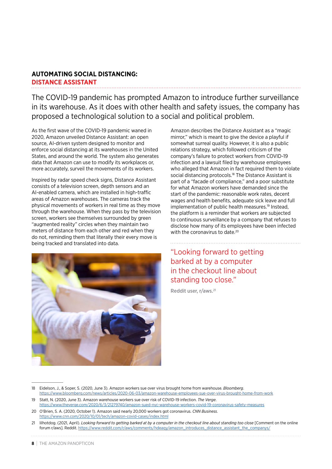### **AUTOMATING SOCIAL DISTANCING:**

#### **DISTANCE ASSISTANT**

The COVID-19 pandemic has prompted Amazon to introduce further surveillance in its warehouse. As it does with other health and safety issues, the company has proposed a technological solution to a social and political problem.

As the first wave of the COVID-19 pandemic waned in 2020, Amazon unveiled Distance Assistant: an open source, AI-driven system designed to monitor and enforce social distancing at its warehouses in the United States, and around the world. The system also generates data that Amazon can use to modify its workplaces or, more accurately, surveil the movements of its workers.

Inspired by radar speed check signs, Distance Assistant consists of a television screen, depth sensors and an AI-enabled camera, which are installed in high-traffic areas of Amazon warehouses. The cameras track the physical movements of workers in real time as they move through the warehouse. When they pass by the television screen, workers see themselves surrounded by green "augmented reality" circles when they maintain two meters of distance from each other and red when they do not, reminding them that literally their every move is being tracked and translated into data.



Amazon describes the Distance Assistant as a "magic mirror," which is meant to give the device a playful if somewhat surreal quality. However, it is also a public relations strategy, which followed criticism of the company's failure to protect workers from COVID-19 infection and a lawsuit filed by warehouse employees who alleged that Amazon in fact required them to violate social distancing protocols.<sup>18</sup> The Distance Assistant is part of a "facade of compliance," and a poor substitute for what Amazon workers have demanded since the start of the pandemic: reasonable work rates, decent wages and health benefits, adequate sick leave and full implementation of public health measures.<sup>19</sup> Instead, the platform is a reminder that workers are subjected to continuous surveillance by a company that refuses to disclose how many of its employees have been infected with the coronavirus to date.<sup>20</sup>

"Looking forward to getting barked at by a computer in the checkout line about standing too close."

Reddit user, r/aws.21

<sup>18</sup> Eidelson, J., & Soper, S. (2020, June 3). Amazon workers sue over virus brought home from warehouse. *Bloomberg*. <https://www.bloomberg.com/news/articles/2020-06-03/amazon-warehouse-employees-sue-over-virus-brought-home-from-work>

<sup>19</sup> Statt, N. (2020, June 3). Amazon warehouse workers sue over risk of COVID-19 infection. *The Verge*. <https://www.theverge.com/2020/6/3/21279740/amazon-sued-nyc-warehouse-workers-covid-19-coronavirus-safety-measures>

<sup>20</sup> O'Brien, S. A. (2020, October 1). Amazon said nearly 20,000 workers got coronavirus. *CNN Business*. <https://www.cnn.com/2020/10/01/tech/amazon-covid-cases/index.html>

<sup>21</sup> lilhotdog. (2021, April). *Looking forward to getting barked at by a computer in the checkout line about standing too close* [Comment on the online forum r/aws]. Reddit. [https://www.reddit.com/r/aws/comments/hdeaqy/amazon\\_introduces\\_distance\\_assistant\\_the\\_companys/](https://www.reddit.com/r/aws/comments/hdeaqy/amazon_introduces_distance_assistant_the_companys/)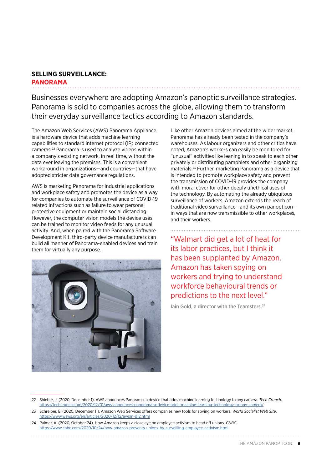#### **SELLING SURVEILLANCE: PANORAMA**

Businesses everywhere are adopting Amazon's panoptic surveillance strategies. Panorama is sold to companies across the globe, allowing them to transform their everyday surveillance tactics according to Amazon standards.

The Amazon Web Services (AWS) Panorama Appliance is a hardware device that adds machine learning capabilities to standard internet protocol (IP) connected cameras.22 Panorama is used to analyze videos within a company's existing network, in real time, without the data ever leaving the premises. This is a convenient workaround in organizations—and countries—that have adopted stricter data governance regulations.

AWS is marketing Panorama for industrial applications and workplace safety and promotes the device as a way for companies to automate the surveillance of COVID-19 related infractions such as failure to wear personal protective equipment or maintain social distancing. However, the computer vision models the device uses can be trained to monitor video feeds for any unusual activity. And, when paired with the Panorama Software Development Kit, third-party device manufacturers can build all manner of Panorama-enabled devices and train them for virtually any purpose.



Like other Amazon devices aimed at the wider market, Panorama has already been tested in the company's warehouses. As labour organizers and other critics have noted, Amazon's workers can easily be monitored for "unusual" activities like leaning in to speak to each other privately or distributing pamphlets and other organizing materials.23 Further, marketing Panorama as a device that is intended to promote workplace safety and prevent the transmission of COVID-19 provides the company with moral cover for other deeply unethical uses of the technology. By automating the already ubiquitous surveillance of workers, Amazon extends the reach of traditional video surveillance—and its own panopticon in ways that are now transmissible to other workplaces, and their workers.

"Walmart did get a lot of heat for its labor practices, but I think it has been supplanted by Amazon. Amazon has taken spying on workers and trying to understand workforce behavioural trends or predictions to the next level."

lain Gold, a director with the Teamsters.<sup>24</sup>

<sup>22</sup> Shieber, J. (2020, December 1). AWS announces Panorama, a device that adds machine learning technology to any camera. *Tech Crunch*. <https://techcrunch.com/2020/12/01/aws-announces-panorama-a-device-adds-machine-learning-technology-to-any-camera/>

<sup>23</sup> Schreiber, E. (2020, December 11). Amazon Web Services offers companies new tools for spying on workers. *World Socialist Web Site*. <https://www.wsws.org/en/articles/2020/12/12/awsm-d12.html>

<sup>24</sup> Palmer, A. (2020, October 24). How Amazon keeps a close eye on employee activism to head off unions. *CNBC*. <https://www.cnbc.com/2020/10/24/how-amazon-prevents-unions-by-surveilling-employee-activism.html>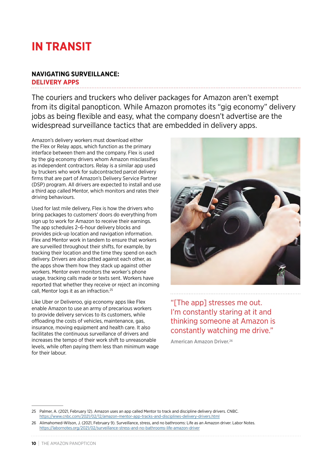# **IN TRANSIT**

#### **NAVIGATING SURVEILLANCE: DELIVERY APPS**

The couriers and truckers who deliver packages for Amazon aren't exempt from its digital panopticon. While Amazon promotes its "gig economy" delivery jobs as being flexible and easy, what the company doesn't advertise are the widespread surveillance tactics that are embedded in delivery apps.

Amazon's delivery workers must download either the Flex or Relay apps, which function as the primary interface between them and the company. Flex is used by the gig economy drivers whom Amazon misclassifies as independent contractors. Relay is a similar app used by truckers who work for subcontracted parcel delivery firms that are part of Amazon's Delivery Service Partner (DSP) program. All drivers are expected to install and use a third app called Mentor, which monitors and rates their driving behaviours.

Used for last mile delivery, Flex is how the drivers who bring packages to customers' doors do everything from sign up to work for Amazon to receive their earnings. The app schedules 2–6-hour delivery blocks and provides pick-up location and navigation information. Flex and Mentor work in tandem to ensure that workers are surveilled throughout their shifts, for example, by tracking their location and the time they spend on each delivery. Drivers are also pitted against each other, as the apps show them how they stack up against other workers. Mentor even monitors the worker's phone usage, tracking calls made or texts sent. Workers have reported that whether they receive or reject an incoming call, Mentor logs it as an infraction.25

Like Uber or Deliveroo, gig economy apps like Flex enable Amazon to use an army of precarious workers to provide delivery services to its customers, while offloading the costs of vehicles, maintenance, gas, insurance, moving equipment and health care. It also facilitates the continuous surveillance of drivers and increases the tempo of their work shift to unreasonable levels, while often paying them less than minimum wage for their labour.



"[The app] stresses me out. I'm constantly staring at it and thinking someone at Amazon is constantly watching me drive."

American Amazon Driver.26

<sup>25</sup> Palmer, A. (2021, February 12). Amazon uses an app called Mentor to track and discipline delivery drivers. CNBC. <https://www.cnbc.com/2021/02/12/amazon-mentor-app-tracks-and-disciplines-delivery-drivers.html>

<sup>26</sup> Alimahomed-Wilson, J. (2021, February 9). Surveillance, stress, and no bathrooms: Life as an Amazon driver. Labor Notes. <https://labornotes.org/2021/02/surveillance-stress-and-no-bathrooms-life-amazon-driver>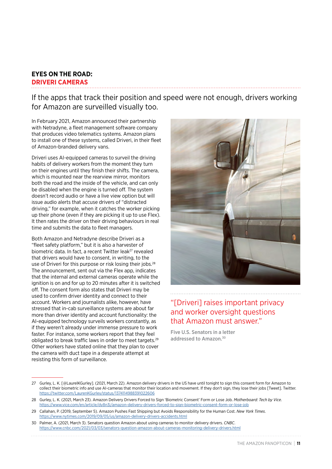#### **EYES ON THE ROAD: DRIVERI CAMERAS**

If the apps that track their position and speed were not enough, drivers working for Amazon are surveilled visually too.

In February 2021, Amazon announced their partnership with Netradyne, a fleet management software company that produces video telematics systems. Amazon plans to install one of these systems, called Driveri, in their fleet of Amazon-branded delivery vans.

Driveri uses AI-equipped cameras to surveil the driving habits of delivery workers from the moment they turn on their engines until they finish their shifts. The camera, which is mounted near the rearview mirror, monitors both the road and the inside of the vehicle, and can only be disabled when the engine is turned off. The system doesn't record audio or have a live view option but will issue audio alerts that accuse drivers of "distracted driving," for example, when it catches the worker picking up their phone (even if they are picking it up to use Flex). It then rates the driver on their driving behaviours in real time and submits the data to fleet managers.

Both Amazon and Netradyne describe Driveri as a "fleet safety platform," but it is also a harvester of biometric data. In fact, a recent Twitter leak<sup>27</sup> revealed that drivers would have to consent, in writing, to the use of Driveri for this purpose or risk losing their jobs.<sup>28</sup> The announcement, sent out via the Flex app, indicates that the internal and external cameras operate while the ignition is on and for up to 20 minutes after it is switched off. The consent form also states that Driveri may be used to confirm driver identity and connect to their account. Workers and journalists alike, however, have stressed that in-cab surveillance systems are about far more than driver identity and account functionality: the AI-equipped technology surveils workers constantly, as if they weren't already under immense pressure to work faster. For instance, some workers report that they feel obligated to break traffic laws in order to meet targets.29 Other workers have stated online that they plan to cover the camera with duct tape in a desperate attempt at resisting this form of surveillance.



### "[Driveri] raises important privacy and worker oversight questions that Amazon must answer."

Five U.S. Senators in a letter addressed to Amazon.30

<sup>27</sup> Gurley, L. K. [@LaurelKGurley]. (2021, March 22). Amazon delivery drivers in the US have until tonight to sign this consent form for Amazon to collect their biometric info and use AI-cameras that monitor their location and movement. If they don't sign, they lose their jobs [Tweet]. Twitter. <https://twitter.com/LaurenKGurley/status/1374114988391022606>

<sup>28</sup> Gurley, L. K. (2021, March 23). Amazon Delivery Drivers Forced to Sign 'Biometric Consent' Form or Lose Job. *Motherboard: Tech by Vice*. <https://www.vice.com/en/article/dy8n3j/amazon-delivery-drivers-forced-to-sign-biometric-consent-form-or-lose-job>

<sup>29</sup> Callahan, P. (2019, September 5). Amazon Pushes Fast Shipping but Avoids Responsibility for the Human Cost. *New York Times*. <https://www.nytimes.com/2019/09/05/us/amazon-delivery-drivers-accidents.html>

<sup>30</sup> Palmer, A. (2021, March 3). Senators question Amazon about using cameras to monitor delivery drivers. *CNBC*. <https://www.cnbc.com/2021/03/03/senators-question-amazon-about-cameras-monitoring-delivery-drivers.html>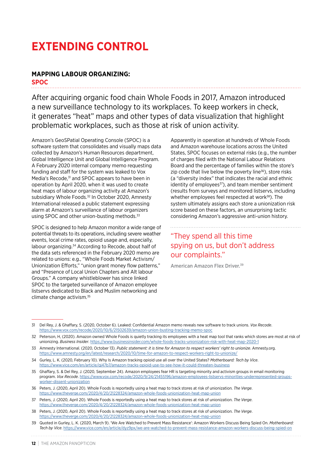# **EXTENDING CONTROL**

### **MAPPING LABOUR ORGANIZING:**

**SPOC**

After acquiring organic food chain Whole Foods in 2017, Amazon introduced a new surveillance technology to its workplaces. To keep workers in check, it generates "heat" maps and other types of data visualization that highlight problematic workplaces, such as those at risk of union activity.

Amazon's GeoSPatial Operating Console (SPOC) is a software system that consolidates and visually maps data collected by Amazon's Human Resources department, Global Intelligence Unit and Global Intelligence Program. A February 2020 internal company memo requesting funding and staff for the system was leaked to Vox Media's Recode.<sup>31</sup> and SPOC appears to have been in operation by April 2020, when it was used to create heat maps of labour organizing activity at Amazon's subsidiary Whole Foods.<sup>32</sup> In October 2020, Amnesty International released a public statement expressing alarm at Amazon's surveillance of labour organizers using SPOC and other union-busting methods.<sup>33</sup>

SPOC is designed to help Amazon monitor a wide range of potential threats to its operations, including severe weather events, local crime rates, opioid usage and, especially, labour organizing.<sup>34</sup> According to Recode, about half of the data sets referenced in the February 2020 memo are related to unions: e.g., "Whole Foods Market Activism/ Unionization Efforts," "union grant money flow patterns," and "Presence of Local Union Chapters and Alt labour Groups." A company whistleblower has since linked SPOC to the targeted surveillance of Amazon employee listservs dedicated to Black and Muslim networking and climate change activism.35

Apparently in operation at hundreds of Whole Foods and Amazon warehouse locations across the United States, SPOC focuses on external risks (e.g., the number of charges filed with the National Labour Relations Board and the percentage of families within the store's zip code that live below the poverty line<sup>36</sup>), store risks (a "diversity index" that indicates the racial and ethnic identity of employees $37$ ), and team member sentiment (results from surveys and monitored listservs, including whether employees feel respected at work<sup>38</sup>). The system ultimately assigns each store a unionization risk score based on these factors, an unsurprising tactic considering Amazon's aggressive anti-union history.

### "They spend all this time spying on us, but don't address our complaints."

American Amazon Flex Driver.<sup>39</sup>

- 31 Del Rey, J. & Ghaffary, S. (2020, October 6). Leaked: Confidential Amazon memo reveals new software to track unions. *Vox Recode*. <https://www.vox.com/recode/2020/10/6/21502639/amazon-union-busting-tracking-memo-spoc>
- 32 Peterson, H, (2020). Amazon owned Whole Foods is quietly tracking its employees with a heat map tool that ranks which stores are most at risk of unionizing. *Business Insider*. <https://www.businessinsider.com/whole-foods-tracks-unionization-risk-with-heat-map-2020-1>
- 33 Amnesty International. (2020, October 13). *Public statement: it is time for Amazon to respect workers' right to unionize*. Amnesty.org. <https://www.amnesty.org/en/latest/research/2020/10/time-for-amazon-to-respect-workers-right-to-unionize/>
- 34 Gurley, L. K. (2020, February 10). Why Is Amazon tracking opioid use all over the United States? *Motherboard: Tech by Vice*. <https://www.vice.com/en/article/qj47b7/amazon-tracks-opioid-use-to-see-how-it-could-threaten-business>
- 35 Ghaffary, S. & Del Rey, J. (2020, September 24). Amazon employees fear HR is targeting minority and activism groups in email monitoring program. *Vox Recode*. [https://www.vox.com/recode/2020/9/24/21455196/amazon-employees-listservs-minorities-underrepresented-groups](https://www.vox.com/recode/2020/9/24/21455196/amazon-employees-listservs-minorities-underrepresented-groups-worker-dissent-unionization)[worker-dissent-unionization](https://www.vox.com/recode/2020/9/24/21455196/amazon-employees-listservs-minorities-underrepresented-groups-worker-dissent-unionization)
- 36 Peters, J. (2020, April 20). Whole Foods is reportedly using a heat map to track stores at risk of unionization. *The Verge*. <https://www.theverge.com/2020/4/20/21228324/amazon-whole-foods-unionization-heat-map-union>
- 37 Peters, J. (2020, April 20). Whole Foods is reportedly using a heat map to track stores at risk of unionization. *The Verge*. <https://www.theverge.com/2020/4/20/21228324/amazon-whole-foods-unionization-heat-map-union>
- 38 Peters, J. (2020, April 20). Whole Foods is reportedly using a heat map to track stores at risk of unionization. *The Verge*. <https://www.theverge.com/2020/4/20/21228324/amazon-whole-foods-unionization-heat-map-union>
- 39 Quoted in Gurley, L. K. (2020, March 9). 'We Are Watched to Prevent Mass Resistance': Amazon Workers Discuss Being Spied On. *Motherboard: Tech by Vice*. <https://www.vice.com/en/article/dyz9px/we-are-watched-to-prevent-mass-resistance-amazon-workers-discuss-being-spied-on>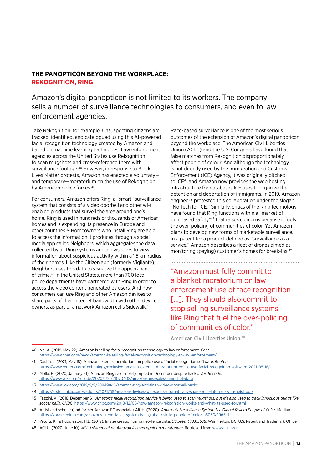### **THE PANOPTICON BEYOND THE WORKPLACE: REKOGNITION, RING**

Amazon's digital panopticon is not limited to its workers. The company sells a number of surveillance technologies to consumers, and even to law enforcement agencies.

Take Rekognition, for example. Unsuspecting citizens are tracked, identified, and catalogued using this AI-powered facial recognition technology created by Amazon and based on machine learning techniques. Law enforcement agencies across the United States use Rekognition to scan mugshots and cross-reference them with surveillance footage.<sup>40</sup> However, in response to Black Lives Matter protests, Amazon has enacted a voluntary and temporary—moratorium on the use of Rekognition by American police forces.<sup>41</sup>

For consumers, Amazon offers Ring, a "smart" surveillance system that consists of a video doorbell and other wi-fi enabled products that surveil the area around one's home. Ring is used in hundreds of thousands of American homes and is expanding its presence in Europe and other countries.42 Homeowners who install Ring are able to access the information it produces through a social media app called Neighbors, which aggregates the data collected by all Ring systems and allows users to view information about suspicious activity within a 1.5 km radius of their homes. Like the Citizen app (formerly Vigilante), Neighbors uses this data to visualize the appearance of crime.43 In the United States, more than 700 local police departments have partnered with Ring in order to access the video content generated by users. And now consumers can use Ring and other Amazon devices to share parts of their internet bandwidth with other device owners, as part of a network Amazon calls Sidewalk.44

Race-based surveillance is one of the most serious outcomes of the extension of Amazon's digital panopticon beyond the workplace. The American Civil Liberties Union (ACLU) and the U.S. Congress have found that false matches from Rekognition disproportionately affect people of colour. And although the technology is not directly used by the Immigration and Customs Enforcement (ICE) Agency, it was originally pitched to ICE45 and Amazon now provides the web hosting infrastructure for databases ICE uses to organize the detention and deportation of immigrants. In 2019, Amazon engineers protested this collaboration under the slogan "No Tech for ICE." Similarly, critics of the Ring technology have found that Ring functions within a "market of purchased safety"46 that raises concerns because it fuels the over-policing of communities of color. Yet Amazon plans to develop new forms of marketable surveillance. In a patent for a product defined as "surveillance as a service," Amazon describes a fleet of drones aimed at monitoring (paying) customer's homes for break-ins.47

"Amazon must fully commit to a blanket moratorium on law enforcement use of face recognition [...]. They should also commit to stop selling surveillance systems like Ring that fuel the over-policing of communities of color."

American Civil Liberties Union.<sup>48</sup>

<sup>40</sup> Ng, A. (2018, May 22). Amazon is selling facial recognition technology to law enforcement. *Cnet*. <https://www.cnet.com/news/amazon-is-selling-facial-recognition-technology-to-law-enforcement/>

<sup>41</sup> Dastin, J. (2021, May 18). Amazon extends moratorium on police use of facial recognition software. *Reuters*. <https://www.reuters.com/technology/exclusive-amazon-extends-moratorium-police-use-facial-recognition-software-2021-05-18/>

<sup>42</sup> Molla, R. (2020, January 21). Amazon Ring sales nearly tripled in December despite hacks. *Vox Recode*. <https://www.vox.com/recode/2020/1/21/21070402/amazon-ring-sales-jumpshot-data>

<sup>43</sup> <https://www.vox.com/2019/9/5/20849846/amazon-ring-explainer-video-doorbell-hacks>

<sup>44</sup> <https://arstechnica.com/gadgets/2021/05/amazon-devices-will-soon-automatically-share-your-internet-with-neighbors>

<sup>45</sup> Fazzini, K. (2018, December 6). *Amazon's facial recognition service is being used to scan mugshots, but it's also used to track innocuous things like soccer balls. CNBC*. <https://www.cnbc.com/2018/12/06/how-amazon-rekognition-works-and-what-its-used-for.html>

<sup>46</sup> Artist and scholar (and former Amazon FC associate) Ali, H. (2020). *Amazon's Surveillance System Is a Global Risk to People of Color*. Medium. <https://zora.medium.com/amazons-surveillance-system-is-a-global-risk-to-people-of-color-a5030a19d5e1>

<sup>47</sup> Yeturu, K., & Huddleston, H.L. (2019). Image creation using geo-fence data, *US patent 10313638*. Washington, DC: U.S. Patent and Trademark Office.

<sup>48</sup> ACLU. (2020, June 10). *ACLU statement on Amazon face recognition moratorium*. Retrieved from [www.aclu.org](http://www.aclu.org)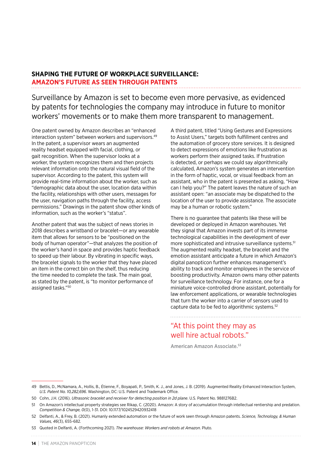### **SHAPING THE FUTURE OF WORKPLACE SURVEILLANCE: AMAZON'S FUTURE AS SEEN THROUGH PATENTS**

Surveillance by Amazon is set to become even more pervasive, as evidenced by patents for technologies the company may introduce in future to monitor workers' movements or to make them more transparent to management.

One patent owned by Amazon describes an "enhanced interaction system" between workers and supervisors.49 In the patent, a supervisor wears an augmented reality headset equipped with facial, clothing, or gait recognition. When the supervisor looks at a worker, the system recognizes them and then projects relevant information onto the natural visual field of the supervisor. According to the patent, this system will provide real-time information about the worker, such as "demographic data about the user, location data within the facility, relationships with other users, messages for the user, navigation paths through the facility, access permissions." Drawings in the patent show other kinds of information, such as the worker's "status".

Another patent that was the subject of news stories in 2018 describes a wristband or bracelet—or any wearable item that allows for sensors to be "positioned on the body of human operator"—that analyzes the position of the worker's hand in space and provides haptic feedback to speed up their labour. By vibrating in specific ways, the bracelet signals to the worker that they have placed an item in the correct bin on the shelf, thus reducing the time needed to complete the task. The main goal, as stated by the patent, is "to monitor performance of assigned tasks."50

A third patent, titled "Using Gestures and Expressions to Assist Users," targets both fulfillment centres and the automation of grocery store services. It is designed to detect expressions of emotions like frustration as workers perform their assigned tasks. If frustration is detected, or perhaps we could say algorithmically calculated, Amazon's system generates an intervention in the form of haptic, vocal, or visual feedback from an assistant, who in the patent is presented as asking, "How can I help you?" The patent leaves the nature of such an assistant open: "an associate may be dispatched to the location of the user to provide assistance. The associate may be a human or robotic system."

There is no guarantee that patents like these will be developed or deployed in Amazon warehouses. Yet they signal that Amazon invests part of its immense technological capabilities in the development of ever more sophisticated and intrusive surveillance systems.51 The augmented reality headset, the bracelet and the emotion assistant anticipate a future in which Amazon's digital panopticon further enhances management's ability to track and monitor employees in the service of boosting productivity. Amazon owns many other patents for surveillance technology. For instance, one for a miniature voice-controlled drone assistant, potentially for law enforcement applications, or wearable technologies that turn the worker into a carrier of sensors used to capture data to be fed to algorithmic systems.<sup>52</sup>

### "At this point they may as well hire actual robots."

American Amazon Associate.53

53 Quoted in Delfanti, A. (Forthcoming 2021). *The warehouse: Workers and robots at Amazon*. Pluto.

<sup>49</sup> Bettis, D., McNamara, A., Hollis, B., Étienne, F., Boyapati, P., Smith, K. J., and Jones, J. B. (2019). Augmented Reality Enhanced Interaction System, *U.S. Patent No. 10,282,696*. Washington, DC: U.S. Patent and Trademark Office.

<sup>50</sup> Cohn, J.H. (2016). *Ultrasonic bracelet and receiver for detecting position in 2d plane*. U.S. Patent No. 9881276B2.

<sup>51</sup> On Amazon's intellectual property strategies see Rikap, C. (2020). Amazon: A story of accumulation through intellectual rentiership and predation. *Competition & Change, 0*(0), 1-31. DOI: 10.1177/1024529420932418

<sup>52</sup> Delfanti, A., & Frey, B. (2021). Humanly extended automation or the future of work seen through Amazon patents. *Science, Technology, & Human Values, 46*(3), 655-682.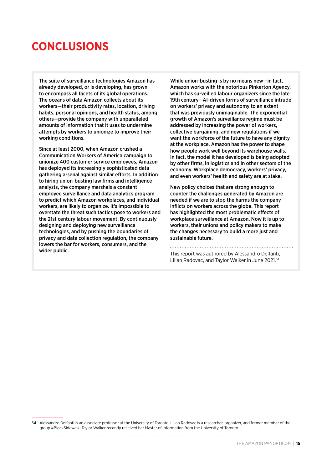## **CONCLUSIONS**

The suite of surveillance technologies Amazon has already developed, or is developing, has grown to encompass all facets of its global operations. The oceans of data Amazon collects about its workers—their productivity rates, location, driving habits, personal opinions, and health status, among others—provide the company with unparalleled amounts of information that it uses to undermine attempts by workers to unionize to improve their working conditions.

Since at least 2000, when Amazon crushed a Communication Workers of America campaign to unionize 400 customer service employees, Amazon has deployed its increasingly sophisticated data gathering arsenal against similar efforts. In addition to hiring union-busting law firms and intelligence analysts, the company marshals a constant employee surveillance and data analytics program to predict which Amazon workplaces, and individual workers, are likely to organize. It's impossible to overstate the threat such tactics pose to workers and the 21st century labour movement. By continuously designing and deploying new surveillance technologies, and by pushing the boundaries of privacy and data collection regulation, the company lowers the bar for workers, consumers, and the wider public.

While union-busting is by no means new—in fact, Amazon works with the notorious Pinkerton Agency, which has surveilled labour organizers since the late 19th century—AI-driven forms of surveillance intrude on workers' privacy and autonomy to an extent that was previously unimaginable. The exponential growth of Amazon's surveillance regime must be addressed by increasing the power of workers, collective bargaining, and new regulations if we want the workforce of the future to have any dignity at the workplace. Amazon has the power to shape how people work well beyond its warehouse walls. In fact, the model it has developed is being adopted by other firms, in logistics and in other sectors of the economy. Workplace democracy, workers' privacy, and even workers' health and safety are at stake.

New policy choices that are strong enough to counter the challenges generated by Amazon are needed if we are to stop the harms the company inflicts on workers across the globe. This report has highlighted the most problematic effects of workplace surveillance at Amazon. Now it is up to workers, their unions and policy makers to make the changes necessary to build a more just and sustainable future.

This report was authored by Alessandro Delfanti, Lilian Radovac, and Taylor Walker in June 2021.54

54 Alessandro Delfanti is an associate professor at the University of Toronto; Lilian Radovac is a researcher, organizer, and former member of the group #BlockSidewalk; Taylor Walker recently received her Master of Information from the University of Toronto.